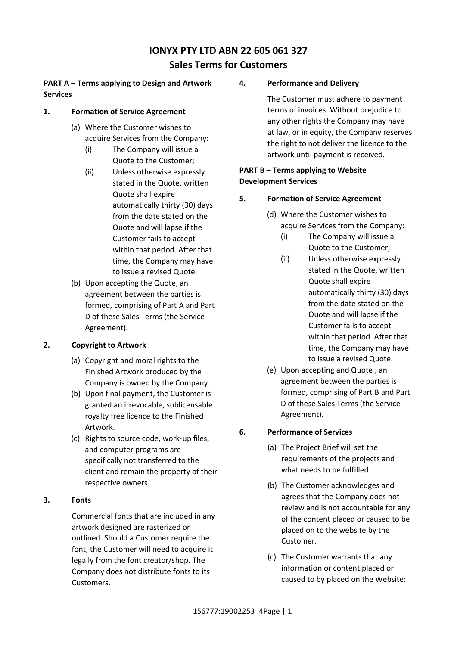# **IONYX PTY LTD ABN 22 605 061 327 Sales Terms for Customers**

# **PART A – Terms applying to Design and Artwork Services**

### **1. Formation of Service Agreement**

- (a) Where the Customer wishes to acquire Services from the Company:
	- (i) The Company will issue a Quote to the Customer;
	- (ii) Unless otherwise expressly stated in the Quote, written Quote shall expire automatically thirty (30) days from the date stated on the Quote and will lapse if the Customer fails to accept within that period. After that time, the Company may have to issue a revised Quote.
- (b) Upon accepting the Quote, an agreement between the parties is formed, comprising of Part A and Part D of these Sales Terms (the Service Agreement).

# **2. Copyright to Artwork**

- (a) Copyright and moral rights to the Finished Artwork produced by the Company is owned by the Company.
- (b) Upon final payment, the Customer is granted an irrevocable, sublicensable royalty free licence to the Finished Artwork.
- (c) Rights to source code, work-up files, and computer programs are specifically not transferred to the client and remain the property of their respective owners.

# **3. Fonts**

Commercial fonts that are included in any artwork designed are rasterized or outlined. Should a Customer require the font, the Customer will need to acquire it legally from the font creator/shop. The Company does not distribute fonts to its Customers.

# **4. Performance and Delivery**

The Customer must adhere to payment terms of invoices. Without prejudice to any other rights the Company may have at law, or in equity, the Company reserves the right to not deliver the licence to the artwork until payment is received.

### **PART B – Terms applying to Website Development Services**

# **5. Formation of Service Agreement**

- (d) Where the Customer wishes to acquire Services from the Company:
	- (i) The Company will issue a Quote to the Customer;
	- (ii) Unless otherwise expressly stated in the Quote, written Quote shall expire automatically thirty (30) days from the date stated on the Quote and will lapse if the Customer fails to accept within that period. After that time, the Company may have to issue a revised Quote.
- (e) Upon accepting and Quote , an agreement between the parties is formed, comprising of Part B and Part D of these Sales Terms (the Service Agreement).

# <span id="page-0-0"></span>**6. Performance of Services**

- (a) The Project Brief will set the requirements of the projects and what needs to be fulfilled.
- (b) The Customer acknowledges and agrees that the Company does not review and is not accountable for any of the content placed or caused to be placed on to the website by the Customer.
- (c) The Customer warrants that any information or content placed or caused to by placed on the Website: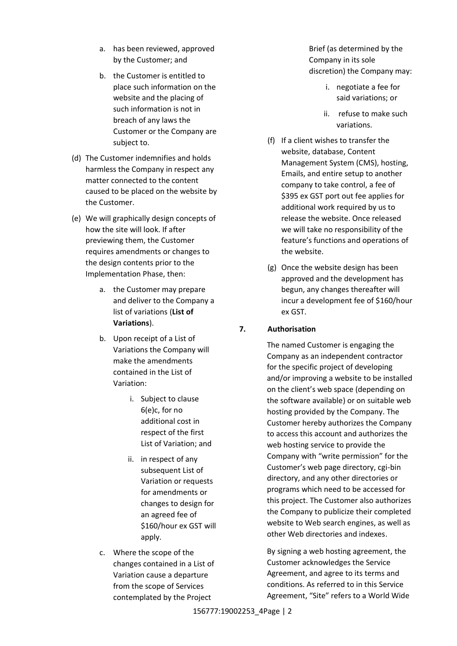- a. has been reviewed, approved by the Customer; and
- b. the Customer is entitled to place such information on the website and the placing of such information is not in breach of any laws the Customer or the Company are subject to.
- (d) The Customer indemnifies and holds harmless the Company in respect any matter connected to the content caused to be placed on the website by the Customer.
- (e) We will graphically design concepts of how the site will look. If after previewing them, the Customer requires amendments or changes to the design contents prior to the Implementation Phase, then:
	- a. the Customer may prepare and deliver to the Company a list of variations (**List of Variations**).
	- b. Upon receipt of a List of Variations the Company will make the amendments contained in the List of Variation:
		- i. Subject to clause [6](#page-0-0)[\(e\)c,](#page-1-0) for no additional cost in respect of the first List of Variation; and
		- ii. in respect of any subsequent List of Variation or requests for amendments or changes to design for an agreed fee of \$160/hour ex GST will apply.
	- c. Where the scope of the changes contained in a List of Variation cause a departure from the scope of Services contemplated by the Project

Brief (as determined by the Company in its sole discretion) the Company may:

- i. negotiate a fee for said variations; or
- ii. refuse to make such variations.
- (f) If a client wishes to transfer the website, database, Content Management System (CMS), hosting, Emails, and entire setup to another company to take control, a fee of \$395 ex GST port out fee applies for additional work required by us to release the website. Once released we will take no responsibility of the feature's functions and operations of the website.
- (g) Once the website design has been approved and the development has begun, any changes thereafter will incur a development fee of \$160/hour ex GST.

# **7. Authorisation**

The named Customer is engaging the Company as an independent contractor for the specific project of developing and/or improving a website to be installed on the client's web space (depending on the software available) or on suitable web hosting provided by the Company. The Customer hereby authorizes the Company to access this account and authorizes the web hosting service to provide the Company with "write permission" for the Customer's web page directory, cgi-bin directory, and any other directories or programs which need to be accessed for this project. The Customer also authorizes the Company to publicize their completed website to Web search engines, as well as other Web directories and indexes.

<span id="page-1-0"></span>By signing a web hosting agreement, the Customer acknowledges the Service Agreement, and agree to its terms and conditions. As referred to in this Service Agreement, "Site" refers to a World Wide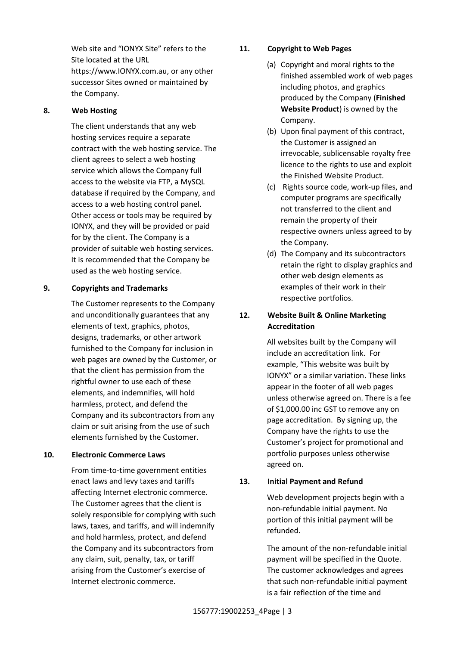Web site and "IONYX Site" refers to the Site located at the URL https://www.IONYX.com.au, or any other successor Sites owned or maintained by the Company.  

### **8. Web Hosting**

The client understands that any web hosting services require a separate contract with the web hosting service. The client agrees to select a web hosting service which allows the Company full access to the website via FTP, a MySQL database if required by the Company, and access to a web hosting control panel. Other access or tools may be required by IONYX, and they will be provided or paid for by the client. The Company is a provider of suitable web hosting services. It is recommended that the Company be used as the web hosting service.

### **9. Copyrights and Trademarks**

The Customer represents to the Company and unconditionally guarantees that any elements of text, graphics, photos, designs, trademarks, or other artwork furnished to the Company for inclusion in web pages are owned by the Customer, or that the client has permission from the rightful owner to use each of these elements, and indemnifies, will hold harmless, protect, and defend the Company and its subcontractors from any claim or suit arising from the use of such elements furnished by the Customer.

### **10. Electronic Commerce Laws**

From time-to-time government entities enact laws and levy taxes and tariffs affecting Internet electronic commerce. The Customer agrees that the client is solely responsible for complying with such laws, taxes, and tariffs, and will indemnify and hold harmless, protect, and defend the Company and its subcontractors from any claim, suit, penalty, tax, or tariff arising from the Customer's exercise of Internet electronic commerce.

# **11. Copyright to Web Pages**

- (a) Copyright and moral rights to the finished assembled work of web pages including photos, and graphics produced by the Company (**Finished Website Product**) is owned by the Company.
- (b) Upon final payment of this contract, the Customer is assigned an irrevocable, sublicensable royalty free licence to the rights to use and exploit the Finished Website Product.
- (c) Rights source code, work-up files, and computer programs are specifically not transferred to the client and remain the property of their respective owners unless agreed to by the Company.
- (d) The Company and its subcontractors retain the right to display graphics and other web design elements as examples of their work in their respective portfolios.

# **12. Website Built & Online Marketing Accreditation**

All websites built by the Company will include an accreditation link.  For example, "This website was built by IONYX" or a similar variation. These links appear in the footer of all web pages unless otherwise agreed on. There is a fee of \$1,000.00 inc GST to remove any on page accreditation. By signing up, the Company have the rights to use the Customer's project for promotional and portfolio purposes unless otherwise agreed on.

# **13. Initial Payment and Refund**

Web development projects begin with a non-refundable initial payment. No portion of this initial payment will be refunded.

The amount of the non-refundable initial payment will be specified in the Quote. The customer acknowledges and agrees that such non-refundable initial payment is a fair reflection of the time and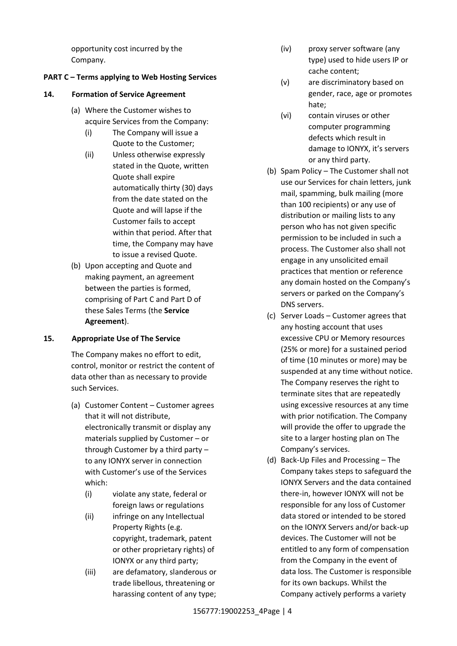opportunity cost incurred by the Company.

#### **PART C – Terms applying to Web Hosting Services**

#### **14. Formation of Service Agreement**

- (a) Where the Customer wishes to acquire Services from the Company:
	- (i) The Company will issue a Quote to the Customer;
	- (ii) Unless otherwise expressly stated in the Quote, written Quote shall expire automatically thirty (30) days from the date stated on the Quote and will lapse if the Customer fails to accept within that period. After that time, the Company may have to issue a revised Quote.
- (b) Upon accepting and Quote and making payment, an agreement between the parties is formed, comprising of Part C and Part D of these Sales Terms (the **Service Agreement**).

### **15. Appropriate Use of The Service**

The Company makes no effort to edit, control, monitor or restrict the content of data other than as necessary to provide such Services.

- (a) Customer Content Customer agrees that it will not distribute, electronically transmit or display any materials supplied by Customer – or through Customer by a third party – to any IONYX server in connection with Customer's use of the Services which:
	- (i) violate any state, federal or foreign laws or regulations
	- (ii) infringe on any Intellectual Property Rights (e.g. copyright, trademark, patent or other proprietary rights) of IONYX or any third party;
	- (iii) are defamatory, slanderous or trade libellous, threatening or harassing content of any type;
- (iv) proxy server software (any type) used to hide users IP or cache content;
- (v) are discriminatory based on gender, race, age or promotes hate;
- (vi) contain viruses or other computer programming defects which result in damage to IONYX, it's servers or any third party.
- (b) Spam Policy The Customer shall not use our Services for chain letters, junk mail, spamming, bulk mailing (more than 100 recipients) or any use of distribution or mailing lists to any person who has not given specific permission to be included in such a process. The Customer also shall not engage in any unsolicited email practices that mention or reference any domain hosted on the Company's servers or parked on the Company's DNS servers.
- (c) Server Loads Customer agrees that any hosting account that uses excessive CPU or Memory resources (25% or more) for a sustained period of time (10 minutes or more) may be suspended at any time without notice. The Company reserves the right to terminate sites that are repeatedly using excessive resources at any time with prior notification. The Company will provide the offer to upgrade the site to a larger hosting plan on The Company's services.
- (d) Back-Up Files and Processing The Company takes steps to safeguard the IONYX Servers and the data contained there-in, however IONYX will not be responsible for any loss of Customer data stored or intended to be stored on the IONYX Servers and/or back-up devices. The Customer will not be entitled to any form of compensation from the Company in the event of data loss. The Customer is responsible for its own backups. Whilst the Company actively performs a variety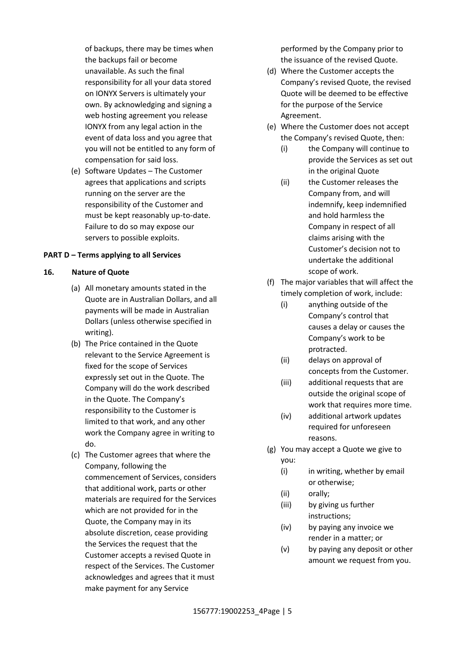of backups, there may be times when the backups fail or become unavailable. As such the final responsibility for all your data stored on IONYX Servers is ultimately your own. By acknowledging and signing a web hosting agreement you release IONYX from any legal action in the event of data loss and you agree that you will not be entitled to any form of compensation for said loss.

(e) Software Updates – The Customer agrees that applications and scripts running on the server are the responsibility of the Customer and must be kept reasonably up-to-date. Failure to do so may expose our servers to possible exploits.

#### **PART D – Terms applying to all Services**

#### **16. Nature of Quote**

- (a) All monetary amounts stated in the Quote are in Australian Dollars, and all payments will be made in Australian Dollars (unless otherwise specified in writing).
- (b) The Price contained in the Quote relevant to the Service Agreement is fixed for the scope of Services expressly set out in the Quote. The Company will do the work described in the Quote. The Company's responsibility to the Customer is limited to that work, and any other work the Company agree in writing to do.
- (c) The Customer agrees that where the Company, following the commencement of Services, considers that additional work, parts or other materials are required for the Services which are not provided for in the Quote, the Company may in its absolute discretion, cease providing the Services the request that the Customer accepts a revised Quote in respect of the Services. The Customer acknowledges and agrees that it must make payment for any Service

performed by the Company prior to the issuance of the revised Quote.

- (d) Where the Customer accepts the Company's revised Quote, the revised Quote will be deemed to be effective for the purpose of the Service Agreement.
- (e) Where the Customer does not accept the Company's revised Quote, then:
	- (i) the Company will continue to provide the Services as set out in the original Quote
	- (ii) the Customer releases the Company from, and will indemnify, keep indemnified and hold harmless the Company in respect of all claims arising with the Customer's decision not to undertake the additional scope of work.
- (f) The major variables that will affect the timely completion of work, include:
	- (i) anything outside of the Company's control that causes a delay or causes the Company's work to be protracted.
	- (ii) delays on approval of concepts from the Customer.
	- (iii) additional requests that are outside the original scope of work that requires more time.
	- (iv) additional artwork updates required for unforeseen reasons.
- (g) You may accept a Quote we give to you:
	- (i) in writing, whether by email or otherwise;
	- (ii) orally;
	- (iii) by giving us further instructions;
	- (iv) by paying any invoice we render in a matter; or
	- (v) by paying any deposit or other amount we request from you.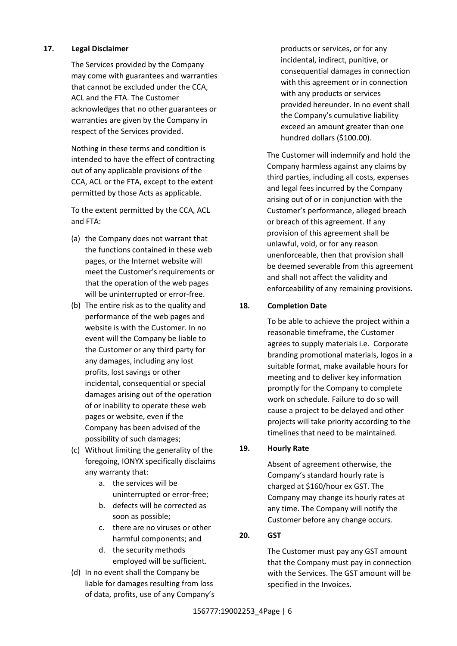### **17. Legal Disclaimer**

The Services provided by the Company may come with guarantees and warranties that cannot be excluded under the CCA, ACL and the FTA. The Customer acknowledges that no other guarantees or warranties are given by the Company in respect of the Services provided.

Nothing in these terms and condition is intended to have the effect of contracting out of any applicable provisions of the CCA, ACL or the FTA, except to the extent permitted by those Acts as applicable.

To the extent permitted by the CCA, ACL and FTA:

- (a) the Company does not warrant that the functions contained in these web pages, or the Internet website will meet the Customer's requirements or that the operation of the web pages will be uninterrupted or error-free.
- (b) The entire risk as to the quality and performance of the web pages and website is with the Customer. In no event will the Company be liable to the Customer or any third party for any damages, including any lost profits, lost savings or other incidental, consequential or special damages arising out of the operation of or inability to operate these web pages or website, even if the Company has been advised of the possibility of such damages;
- (c) Without limiting the generality of the foregoing, IONYX specifically disclaims any warranty that:
	- a. the services will be uninterrupted or error-free;
	- b. defects will be corrected as soon as possible;
	- c. there are no viruses or other harmful components; and
	- d. the security methods employed will be sufficient.
- (d) In no event shall the Company be liable for damages resulting from loss of data, profits, use of any Company's

products or services, or for any incidental, indirect, punitive, or consequential damages in connection with this agreement or in connection with any products or services provided hereunder. In no event shall the Company's cumulative liability exceed an amount greater than one hundred dollars (\$100.00).

The Customer will indemnify and hold the Company harmless against any claims by third parties, including all costs, expenses and legal fees incurred by the Company arising out of or in conjunction with the Customer's performance, alleged breach or breach of this agreement. If any provision of this agreement shall be unlawful, void, or for any reason unenforceable, then that provision shall be deemed severable from this agreement and shall not affect the validity and enforceability of any remaining provisions.

### **18. Completion Date**

To be able to achieve the project within a reasonable timeframe, the Customer agrees to supply materials i.e.  Corporate branding promotional materials, logos in a suitable format, make available hours for meeting and to deliver key information promptly for the Company to complete work on schedule. Failure to do so will cause a project to be delayed and other projects will take priority according to the timelines that need to be maintained.

### **19. Hourly Rate**

Absent of agreement otherwise, the Company's standard hourly rate is charged at \$160/hour ex GST. The Company may change its hourly rates at any time. The Company will notify the Customer before any change occurs.

### **20. GST**

The Customer must pay any GST amount that the Company must pay in connection with the Services. The GST amount will be specified in the Invoices.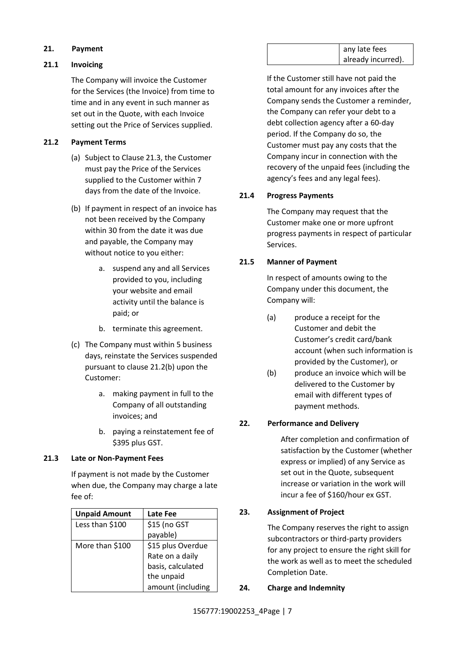### **21. Payment**

#### **21.1 Invoicing**

The Company will invoice the Customer for the Services (the Invoice) from time to time and in any event in such manner as set out in the Quote, with each Invoice setting out the Price of Services supplied.

### <span id="page-6-1"></span>**21.2 Payment Terms**

- (a) Subject to Clause [21.3,](#page-6-0) the Customer must pay the Price of the Services supplied to the Customer within 7 days from the date of the Invoice.
- <span id="page-6-2"></span>(b) If payment in respect of an invoice has not been received by the Company within 30 from the date it was due and payable, the Company may without notice to you either:
	- a. suspend any and all Services provided to you, including your website and email activity until the balance is paid; or
	- b. terminate this agreement.
- (c) The Company must within 5 business days, reinstate the Services suspended pursuant to clause [21.2](#page-6-1)[\(b\)](#page-6-2) upon the Customer:
	- a. making payment in full to the Company of all outstanding invoices; and
	- b. paying a reinstatement fee of \$395 plus GST.

#### <span id="page-6-0"></span>**21.3 Late or Non-Payment Fees**

If payment is not made by the Customer when due, the Company may charge a late fee of:

| <b>Unpaid Amount</b> | Late Fee          |
|----------------------|-------------------|
| Less than \$100      | \$15 (no GST      |
|                      | payable)          |
| More than \$100      | \$15 plus Overdue |
|                      | Rate on a daily   |
|                      | basis, calculated |
|                      | the unpaid        |
|                      | amount (including |

If the Customer still have not paid the total amount for any invoices after the Company sends the Customer a reminder, the Company can refer your debt to a debt collection agency after a 60-day period. If the Company do so, the Customer must pay any costs that the Company incur in connection with the recovery of the unpaid fees (including the agency's fees and any legal fees).

### <span id="page-6-3"></span>**21.4 Progress Payments**

The Company may request that the Customer make one or more upfront progress payments in respect of particular Services.

### **21.5 Manner of Payment**

In respect of amounts owing to the Company under this document, the Company will:

- (a) produce a receipt for the Customer and debit the Customer's credit card/bank account (when such information is provided by the Customer), or
- (b) produce an invoice which will be delivered to the Customer by email with different types of payment methods.

### **22. Performance and Delivery**

After completion and confirmation of satisfaction by the Customer (whether express or implied) of any Service as set out in the Quote, subsequent increase or variation in the work will incur a fee of \$160/hour ex GST.

### **23. Assignment of Project**

The Company reserves the right to assign subcontractors or third-party providers for any project to ensure the right skill for the work as well as to meet the scheduled Completion Date.

### **24. Charge and Indemnity**

any late fees already incurred).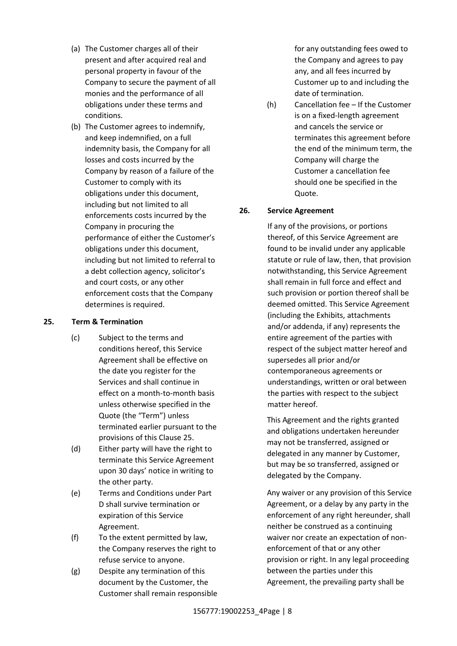- (a) The Customer charges all of their present and after acquired real and personal property in favour of the Company to secure the payment of all monies and the performance of all obligations under these terms and conditions.
- (b) The Customer agrees to indemnify, and keep indemnified, on a full indemnity basis, the Company for all losses and costs incurred by the Company by reason of a failure of the Customer to comply with its obligations under this document, including but not limited to all enforcements costs incurred by the Company in procuring the performance of either the Customer's obligations under this document, including but not limited to referral to a debt collection agency, solicitor's and court costs, or any other enforcement costs that the Company determines is required.

#### <span id="page-7-0"></span>**25. Term & Termination**

- (c) Subject to the terms and conditions hereof, this Service Agreement shall be effective on the date you register for the Services and shall continue in effect on a month-to-month basis unless otherwise specified in the Quote (the "Term") unless terminated earlier pursuant to the provisions of this Clause [25.](#page-7-0)
- (d) Either party will have the right to terminate this Service Agreement upon 30 days' notice in writing to the other party.
- (e) Terms and Conditions under Part D shall survive termination or expiration of this Service Agreement.
- (f) To the extent permitted by law, the Company reserves the right to refuse service to anyone.
- (g) Despite any termination of this document by the Customer, the Customer shall remain responsible

for any outstanding fees owed to the Company and agrees to pay any, and all fees incurred by Customer up to and including the date of termination.

(h) Cancellation fee – If the Customer is on a fixed-length agreement and cancels the service or terminates this agreement before the end of the minimum term, the Company will charge the Customer a cancellation fee should one be specified in the Quote.

### **26. Service Agreement**

If any of the provisions, or portions thereof, of this Service Agreement are found to be invalid under any applicable statute or rule of law, then, that provision notwithstanding, this Service Agreement shall remain in full force and effect and such provision or portion thereof shall be deemed omitted. This Service Agreement (including the Exhibits, attachments and/or addenda, if any) represents the entire agreement of the parties with respect of the subject matter hereof and supersedes all prior and/or contemporaneous agreements or understandings, written or oral between the parties with respect to the subject matter hereof.

This Agreement and the rights granted and obligations undertaken hereunder may not be transferred, assigned or delegated in any manner by Customer, but may be so transferred, assigned or delegated by the Company.

Any waiver or any provision of this Service Agreement, or a delay by any party in the enforcement of any right hereunder, shall neither be construed as a continuing waiver nor create an expectation of nonenforcement of that or any other provision or right. In any legal proceeding between the parties under this Agreement, the prevailing party shall be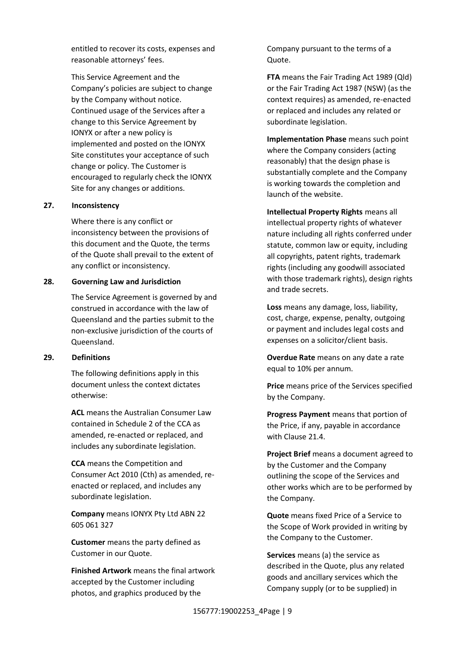entitled to recover its costs, expenses and reasonable attorneys' fees.

This Service Agreement and the Company's policies are subject to change by the Company without notice. Continued usage of the Services after a change to this Service Agreement by IONYX or after a new policy is implemented and posted on the IONYX Site constitutes your acceptance of such change or policy. The Customer is encouraged to regularly check the IONYX Site for any changes or additions.

#### **27. Inconsistency**

Where there is any conflict or inconsistency between the provisions of this document and the Quote, the terms of the Quote shall prevail to the extent of any conflict or inconsistency.

#### **28. Governing Law and Jurisdiction**

The Service Agreement is governed by and construed in accordance with the law of Queensland and the parties submit to the non-exclusive jurisdiction of the courts of Queensland.

#### **29. Definitions**

The following definitions apply in this document unless the context dictates otherwise:

**ACL** means the Australian Consumer Law contained in Schedule 2 of the CCA as amended, re-enacted or replaced, and includes any subordinate legislation.

**CCA** means the Competition and Consumer Act 2010 (Cth) as amended, reenacted or replaced, and includes any subordinate legislation.

**Company** means IONYX Pty Ltd ABN 22 605 061 327

**Customer** means the party defined as Customer in our Quote.

**Finished Artwork** means the final artwork accepted by the Customer including photos, and graphics produced by the

Company pursuant to the terms of a Quote.

**FTA** means the Fair Trading Act 1989 (Qld) or the Fair Trading Act 1987 (NSW) (as the context requires) as amended, re-enacted or replaced and includes any related or subordinate legislation.

**Implementation Phase** means such point where the Company considers (acting reasonably) that the design phase is substantially complete and the Company is working towards the completion and launch of the website.

**Intellectual Property Rights** means all intellectual property rights of whatever nature including all rights conferred under statute, common law or equity, including all copyrights, patent rights, trademark rights (including any goodwill associated with those trademark rights), design rights and trade secrets.

**Loss** means any damage, loss, liability, cost, charge, expense, penalty, outgoing or payment and includes legal costs and expenses on a solicitor/client basis.

**Overdue Rate** means on any date a rate equal to 10% per annum.

**Price** means price of the Services specified by the Company.

**Progress Payment** means that portion of the Price, if any, payable in accordance with Clause [21.4.](#page-6-3)

**Project Brief** means a document agreed to by the Customer and the Company outlining the scope of the Services and other works which are to be performed by the Company.

**Quote** means fixed Price of a Service to the Scope of Work provided in writing by the Company to the Customer.

**Services** means (a) the service as described in the Quote, plus any related goods and ancillary services which the Company supply (or to be supplied) in